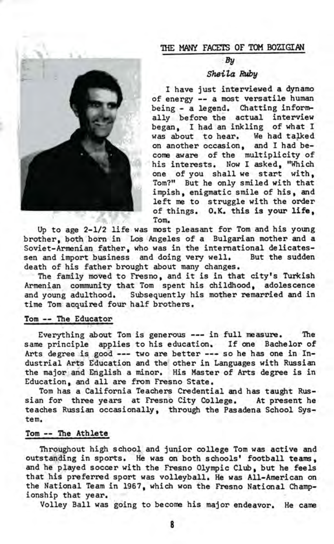

### THE MANY FACETS OF TOM BQZIGIAN

## $By$

## Sheila Ruby

*<sup>I</sup>* have just interviewed a dynamo of energy — a most versatile human being - a legend. Chatting informally before the actual interview began, I had an inkling of what I was about to hear. We had talked on another occasion, and I had become aware of the multiplicity of his interests. Now I asked, "Which one of you shall we start with, Tom?" But he only smiled with that impish, enigmatic smile of his, and left me to struggle with the order of things. O.K. this is your life. Tom.

Up to age 2-1/2 life was most pleasant for Tom and his young brother, both born in Los Angeles of a Bulgarian mother and a Soviet-Armenian father, who was in the international delicatessen and import business and doing very well. But the sudden death of his father brought about many changes.

The family moved to Fresno, and it is in that city's Turkish Armenian community that Tom spent his childhood, adolescence and young adulthood. Subsequently his mother remarried and in time Tom acquired four half brothers.

#### Tom — The Educator

Everything about Tom is generous —- in full measure. The same principle applies to his education. If one Bachelor of Arts degree is good --- two are better --- so he has one in Industrial Arts Education and the other in Languages with Russian the major and English a minor. His Master of Arts degree is in Education, and all are from Fresno State.

Tom has a California Teachers Credential and has taught Russian for three years at Fresno City College. At present he teaches Russian occasionally, through the Pasadena School System.

# Tom — The Athlete

Throughout high school and junior college Tom was active and outstanding in sports. He was on both schools' football teams, and he played soccer with the Fresno Olympic Club, but he feels that his preferred sport was volleyball. He was All-American on the National Team in 1967, which won the Fresno National Championship that year.

Volley Ball was going to become his major endeavor. He came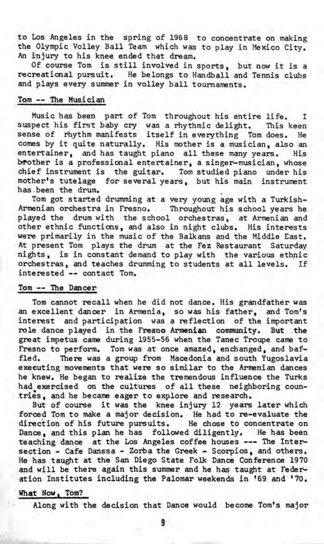to Los Angeles in the spring of 1968 to concentrate on making the Olympic Volley Ball Team which was to play in Mexico City. An injury to his knee ended that dream.

Of course Tom is still involved in sports, but now it is a recreational pursuit. He belongs to Handball and Tennis clubs and plays every summer in volley ball tournaments.

### Tom — The Musician

Music has been part of Tom throughout his entire life. I suspect his first baby cry was a rhythmic delight. This keen sense of rhythm manifests itself in everything Tom does. He comes by it quite naturally. His mother is a musician, also an entertainer, and has taught piano all these many years. His brother is a professional entertainer, a singer-musician, whose chief instrument is the guitar. Tom studied piano under his mother's tutelage for several years, but his main instrument has.been the drum.

Tom got started drumming at a very young age with a Turkish-Armenian orchestra in Fresno. Throughout his school years he played the drum with the school orchestras, at Armenian and other ethnic functions, and also in night clubs. His interests were primarily in the music of the Balkans and the Middle East. At present Tom plays the drum at the Fez Restaurant Saturday nights, is in constant demand to play with the various ethnic orchestras, and teaches drumming to students at all levels. If interested — contact Tom.

### Tom — The Dancer

Tom cannot recall when he did not dance. His grandfather was an excellent dancer in Armenia, so was his father, and Tomfs interest and participation was a reflection of the important role dance played in the Fresno Armenian community. But the great impetus came during 1955-56 when the Tanec Troupe came to Fresno to perform. Tom was at once amazed, enchanged, and baffled. There was *a* group from Macedonia and south Yugoslavia executing movements that were so similar to the Armenian dances he knew. He began to realize the tremendous influence the Turks had exercised on the cultures of all these neighboring countries, and he became eager to explore and research.

But of course it was the knee injury 12 years later which forced Tom to make a major decision. He had to re-evaluate the direction of his future pursuits. He chose to concentrate on Dance, and this plan he has followed diligently. He has been teaching dance at the Los Angeles coffee houses --- The Intersection - Cafe Danssa - Zorba the Greek - Scorpios, and others. He has taught at the San Diego State Folk Dance Conference 1970 and will be there again this summer and he has taught at Federation Institutes including the Palomar weekends in '69 and '70.

### What Now, Tom?

Along with the decision that Dance would become Tom's major